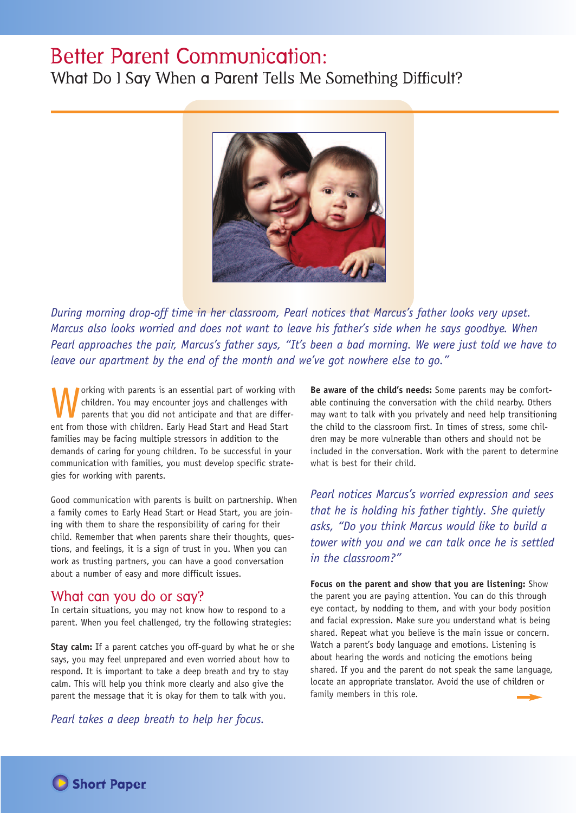# Better Parent Communication:

What Do I Say When a Parent Tells Me Something Difficult?



*During morning drop-off time in her classroom, Pearl notices that Marcus's father looks very upset. Marcus also looks worried and does not want to leave his father's side when he says goodbye. When* Pearl approaches the pair, Marcus's father says, "It's been a bad morning. We were just told we have to *leave our apartment by the end of the month and we've got nowhere else to go."*

Working with parents is an essential part of working with<br>children. You may encounter joys and challenges with<br>parents that you did not anticipate and that are differ-<br>ont from those with children. Early Hoad Start and Hoa children. You may encounter joys and challenges with parents that you did not anticipate and that are different from those with children. Early Head Start and Head Start families may be facing multiple stressors in addition to the demands of caring for young children. To be successful in your communication with families, you must develop specific strategies for working with parents.

Good communication with parents is built on partnership. When a family comes to Early Head Start or Head Start, you are joining with them to share the responsibility of caring for their child. Remember that when parents share their thoughts, questions, and feelings, it is a sign of trust in you. When you can work as trusting partners, you can have a good conversation about a number of easy and more difficult issues.

## What can you do or say?

▼**Short Paper**

In certain situations, you may not know how to respond to a parent. When you feel challenged, try the following strategies:

**Stay calm:** If a parent catches you off-guard by what he or she says, you may feel unprepared and even worried about how to respond. It is important to take a deep breath and try to stay calm. This will help you think more clearly and also give the parent the message that it is okay for them to talk with you.

*Pearl takes a deep breath to help her focus.*

**Be aware of the child's needs:** Some parents may be comfortable continuing the conversation with the child nearby. Others may want to talk with you privately and need help transitioning the child to the classroom first. In times of stress, some children may be more vulnerable than others and should not be included in the conversation. Work with the parent to determine what is best for their child.

*Pearl notices Marcus's worried expression and sees that he is holding his father tightly. She quietly asks, "Do you think Marcus would like to build a tower with you and we can talk once he is settled in the classroom?"*

**Focus on the parent and show that you are listening:** Show the parent you are paying attention. You can do this through eye contact, by nodding to them, and with your body position and facial expression. Make sure you understand what is being shared. Repeat what you believe is the main issue or concern. Watch a parent's body language and emotions. Listening is about hearing the words and noticing the emotions being shared. If you and the parent do not speak the same language, locate an appropriate translator. Avoid the use of children or family members in this role.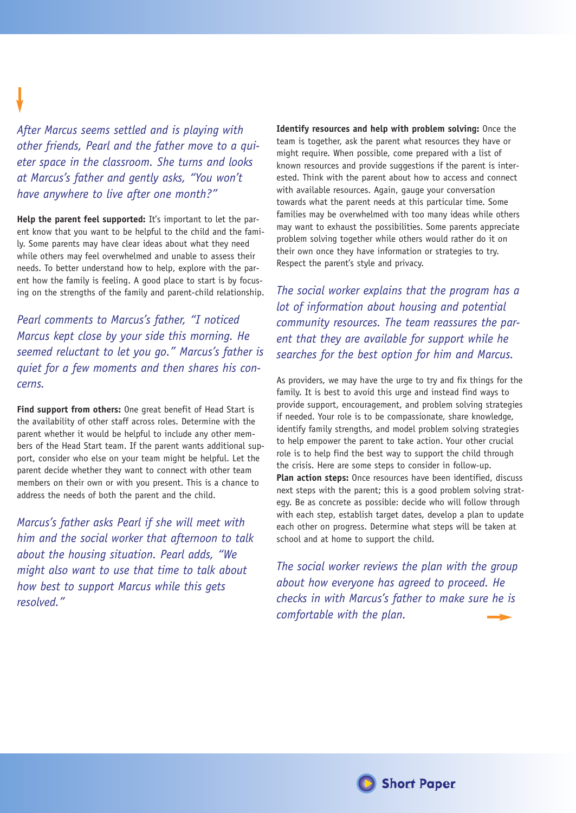*After Marcus seems settled and is playing with other friends, Pearl and the father move to a quieter space in the classroom. She turns and looks at Marcus's father and gently asks, "You won't have anywhere to live after one month?"*

**Help the parent feel supported:** It's important to let the parent know that you want to be helpful to the child and the family. Some parents may have clear ideas about what they need while others may feel overwhelmed and unable to assess their needs. To better understand how to help, explore with the parent how the family is feeling. A good place to start is by focusing on the strengths of the family and parent-child relationship.

*Pearl comments to Marcus's father, "I noticed Marcus kept close by your side this morning. He seemed reluctant to let you go." Marcus's father is quiet for a few moments and then shares his concerns.*

**Find support from others:** One great benefit of Head Start is the availability of other staff across roles. Determine with the parent whether it would be helpful to include any other members of the Head Start team. If the parent wants additional support, consider who else on your team might be helpful. Let the parent decide whether they want to connect with other team members on their own or with you present. This is a chance to address the needs of both the parent and the child.

*Marcus's father asks Pearl if she will meet with him and the social worker that afternoon to talk about the housing situation. Pearl adds, "We might also want to use that time to talk about how best to support Marcus while this gets resolved."*

**Identify resources and help with problem solving:** Once the team is together, ask the parent what resources they have or might require. When possible, come prepared with a list of known resources and provide suggestions if the parent is interested. Think with the parent about how to access and connect with available resources. Again, gauge your conversation towards what the parent needs at this particular time. Some families may be overwhelmed with too many ideas while others may want to exhaust the possibilities. Some parents appreciate problem solving together while others would rather do it on their own once they have information or strategies to try. Respect the parent's style and privacy.

*The social worker explains that the program has a lot of information about housing and potential community resources. The team reassures the parent that they are available for support while he searches for the best option for him and Marcus.*

As providers, we may have the urge to try and fix things for the family. It is best to avoid this urge and instead find ways to provide support, encouragement, and problem solving strategies if needed. Your role is to be compassionate, share knowledge, identify family strengths, and model problem solving strategies to help empower the parent to take action. Your other crucial role is to help find the best way to support the child through the crisis. Here are some steps to consider in follow-up. **Plan action steps:** Once resources have been identified, discuss next steps with the parent; this is a good problem solving strategy. Be as concrete as possible: decide who will follow through with each step, establish target dates, develop a plan to update each other on progress. Determine what steps will be taken at school and at home to support the child.

*The social worker reviews the plan with the group about how everyone has agreed to proceed. He checks in with Marcus's father to make sure he is comfortable with the plan.*